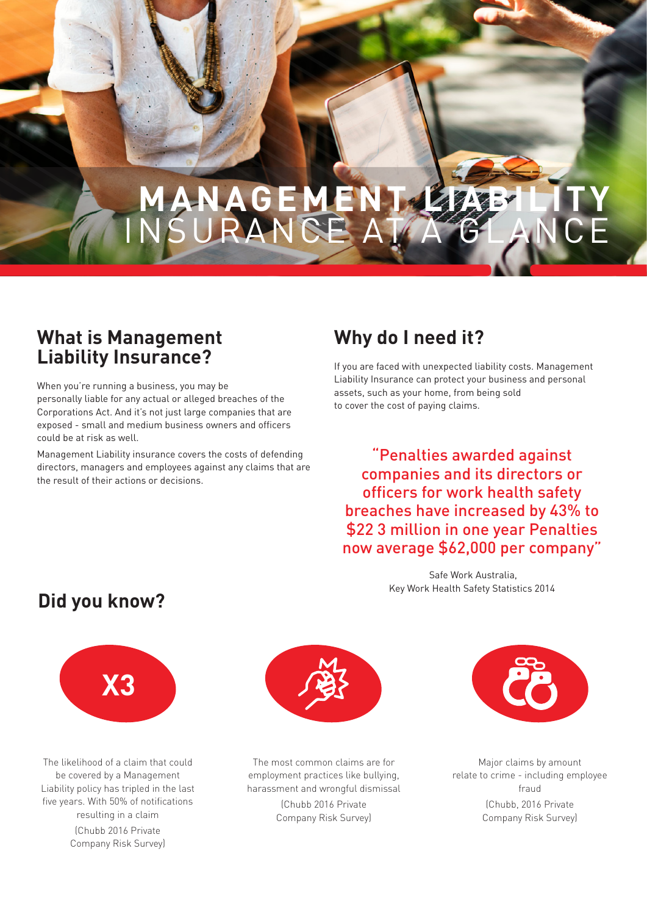# **MANAGEM** INSURANCE AT A GLANCE

#### **What is Management Liability Insurance?**

When you're running a business, you may be personally liable for any actual or alleged breaches of the Corporations Act. And it's not just large companies that are exposed - small and medium business owners and officers could be at risk as well.

Management Liability insurance covers the costs of defending directors, managers and employees against any claims that are the result of their actions or decisions.

### **Why do I need it?**

If you are faced with unexpected liability costs. Management Liability Insurance can protect your business and personal assets, such as your home, from being sold to cover the cost of paying claims.

"Penalties awarded against companies and its directors or officers for work health safety breaches have increased by 43% to \$22 3 million in one year Penalties now average \$62,000 per company"

> Safe Work Australia, Key Work Health Safety Statistics 2014

#### **Did you know?**



The likelihood of a claim that could be covered by a Management Liability policy has tripled in the last five years. With 50% of notifications resulting in a claim (Chubb 2016 Private Company Risk Survey)



The most common claims are for employment practices like bullying, harassment and wrongful dismissal

> (Chubb 2016 Private Company Risk Survey)



Major claims by amount relate to crime - including employee fraud (Chubb, 2016 Private Company Risk Survey)